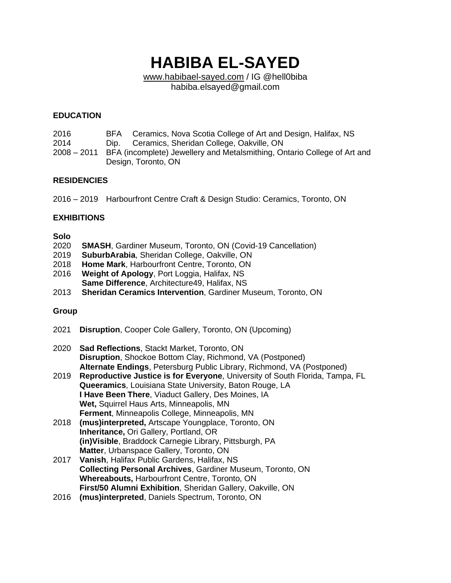# **HABIBA EL-SAYED**

[www.habibael-sayed.com](http://www.habibael-sayed.com/) / IG @hell0biba habiba.elsayed@gmail.com

## **EDUCATION**

| 2016 |                                                                                      | BFA Ceramics, Nova Scotia College of Art and Design, Halifax, NS |
|------|--------------------------------------------------------------------------------------|------------------------------------------------------------------|
| 2014 |                                                                                      | Dip. Ceramics, Sheridan College, Oakville, ON                    |
|      | 2008 – 2011 BFA (incomplete) Jewellery and Metalsmithing, Ontario College of Art and |                                                                  |
|      |                                                                                      | Design, Toronto, ON                                              |

## **RESIDENCIES**

2016 – 2019 Harbourfront Centre Craft & Design Studio: Ceramics, Toronto, ON

## **EXHIBITIONS**

#### **Solo**

- 2020 **SMASH**, Gardiner Museum, Toronto, ON (Covid-19 Cancellation)
- 2019 **SuburbArabia**, Sheridan College, Oakville, ON
- 2018 **Home Mark**, Harbourfront Centre, Toronto, ON
- 2016 **Weight of Apology**, Port Loggia, Halifax, NS **Same Difference**, Architecture49, Halifax, NS
- 2013 **Sheridan Ceramics Intervention**, Gardiner Museum, Toronto, ON

# **Group**

- 2021 **Disruption**, Cooper Cole Gallery, Toronto, ON (Upcoming)
- 2020 **Sad Reflections**, Stackt Market, Toronto, ON **Disruption**, Shockoe Bottom Clay, Richmond, VA (Postponed) **Alternate Endings**, Petersburg Public Library, Richmond, VA (Postponed)
- 2019 **Reproductive Justice is for Everyone**, University of South Florida, Tampa, FL **Queeramics**, Louisiana State University, Baton Rouge, LA **I Have Been There**, Viaduct Gallery, Des Moines, IA **Wet,** Squirrel Haus Arts, Minneapolis, MN **Ferment**, Minneapolis College, Minneapolis, MN
- 2018 **(mus)interpreted,** Artscape Youngplace, Toronto, ON **Inheritance,** Ori Gallery, Portland, OR **(in)Visible**, Braddock Carnegie Library, Pittsburgh, PA **Matter**, Urbanspace Gallery, Toronto, ON
- 2017 **Vanish**, Halifax Public Gardens, Halifax, NS **Collecting Personal Archives**, Gardiner Museum, Toronto, ON **Whereabouts,** Harbourfront Centre, Toronto, ON **First/50 Alumni Exhibition**, Sheridan Gallery, Oakville, ON
- 2016 **(mus)interpreted**, Daniels Spectrum, Toronto, ON